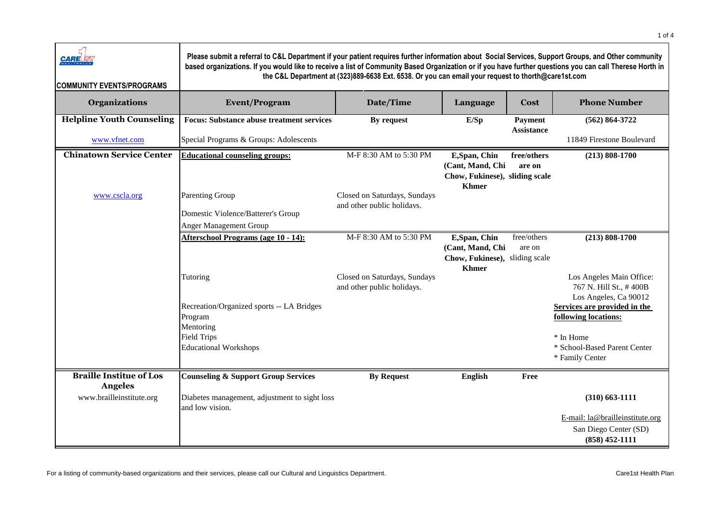| <b>CARE</b><br><b>COMMUNITY EVENTS/PROGRAMS</b>   | Please submit a referral to C&L Department if your patient requires further information about Social Services, Support Groups, and Other community<br>based organizations. If you would like to receive a list of Community Based Organization or if you have further questions you can call Therese Horth in | the C&L Department at (323)889-6638 Ext. 6538. Or you can email your request to thorth@care1st.com |                                                                                     |                              |                                                                              |
|---------------------------------------------------|---------------------------------------------------------------------------------------------------------------------------------------------------------------------------------------------------------------------------------------------------------------------------------------------------------------|----------------------------------------------------------------------------------------------------|-------------------------------------------------------------------------------------|------------------------------|------------------------------------------------------------------------------|
| <b>Organizations</b>                              | <b>Event/Program</b>                                                                                                                                                                                                                                                                                          | Date/Time                                                                                          | Language                                                                            | Cost                         | <b>Phone Number</b>                                                          |
| <b>Helpline Youth Counseling</b><br>www.vfnet.com | <b>Focus: Substance abuse treatment services</b><br>Special Programs & Groups: Adolescents                                                                                                                                                                                                                    | By request                                                                                         | E/Sp                                                                                | Payment<br><b>Assistance</b> | $(562) 864 - 3722$<br>11849 Firestone Boulevard                              |
| <b>Chinatown Service Center</b>                   | <b>Educational counseling groups:</b>                                                                                                                                                                                                                                                                         | M-F 8:30 AM to 5:30 PM                                                                             | E, Span, Chin<br>(Cant, Mand, Chi<br>Chow, Fukinese), sliding scale<br><b>Khmer</b> | free/others<br>are on        | $(213) 808 - 1700$                                                           |
| www.cscla.org                                     | <b>Parenting Group</b><br>Domestic Violence/Batterer's Group<br><b>Anger Management Group</b>                                                                                                                                                                                                                 | Closed on Saturdays, Sundays<br>and other public holidavs.                                         |                                                                                     |                              |                                                                              |
|                                                   | Afterschool Programs (age 10 - 14):                                                                                                                                                                                                                                                                           | M-F 8:30 AM to 5:30 PM                                                                             | E, Span, Chin<br>(Cant, Mand, Chi<br>Chow, Fukinese), sliding scale<br><b>Khmer</b> | free/others<br>are on        | $(213) 808 - 1700$                                                           |
|                                                   | Tutoring                                                                                                                                                                                                                                                                                                      | Closed on Saturdays, Sundays<br>and other public holidays.                                         |                                                                                     |                              | Los Angeles Main Office:<br>767 N. Hill St., #400B<br>Los Angeles, Ca 90012  |
|                                                   | Recreation/Organized sports -- LA Bridges<br>Program<br>Mentoring                                                                                                                                                                                                                                             |                                                                                                    |                                                                                     |                              | Services are provided in the<br>following locations:                         |
|                                                   | <b>Field Trips</b><br><b>Educational Workshops</b>                                                                                                                                                                                                                                                            |                                                                                                    |                                                                                     |                              | * In Home<br>* School-Based Parent Center<br>* Family Center                 |
| <b>Braille Institue of Los</b><br><b>Angeles</b>  | <b>Counseling &amp; Support Group Services</b>                                                                                                                                                                                                                                                                | <b>By Request</b>                                                                                  | <b>English</b>                                                                      | Free                         |                                                                              |
| www.brailleinstitute.org                          | Diabetes management, adjustment to sight loss<br>and low vision.                                                                                                                                                                                                                                              |                                                                                                    |                                                                                     |                              | $(310)$ 663-1111                                                             |
|                                                   |                                                                                                                                                                                                                                                                                                               |                                                                                                    |                                                                                     |                              | E-mail: la@brailleinstitute.org<br>San Diego Center (SD)<br>$(858)$ 452-1111 |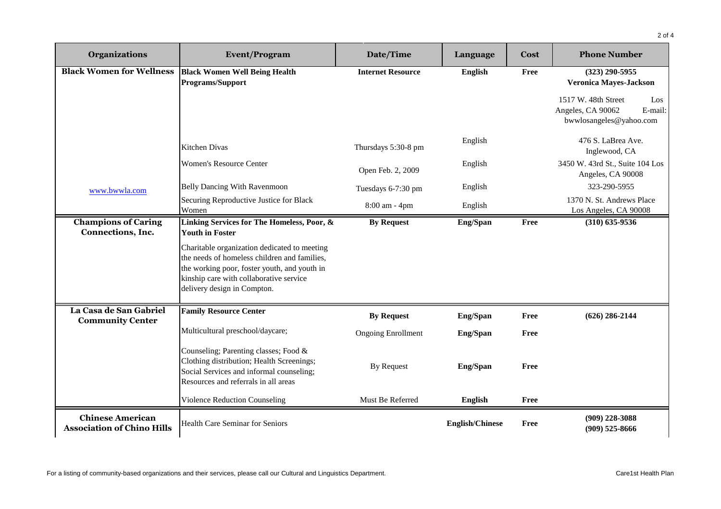| <b>Organizations</b>                                         | <b>Event/Program</b>                                                                                                                                                                                                   | Date/Time                 | Language               | Cost        | <b>Phone Number</b>                                                                   |
|--------------------------------------------------------------|------------------------------------------------------------------------------------------------------------------------------------------------------------------------------------------------------------------------|---------------------------|------------------------|-------------|---------------------------------------------------------------------------------------|
| <b>Black Women for Wellness</b>                              | <b>Black Women Well Being Health</b><br><b>Programs/Support</b>                                                                                                                                                        | <b>Internet Resource</b>  | <b>English</b>         | Free        | $(323)$ 290-5955<br><b>Veronica Mayes-Jackson</b>                                     |
|                                                              |                                                                                                                                                                                                                        |                           |                        |             | 1517 W. 48th Street<br>Los<br>Angeles, CA 90062<br>E-mail:<br>bwwlosangeles@yahoo.com |
|                                                              | <b>Kitchen Divas</b>                                                                                                                                                                                                   | Thursdays 5:30-8 pm       | English                |             | 476 S. LaBrea Ave.<br>Inglewood, CA                                                   |
|                                                              | <b>Women's Resource Center</b>                                                                                                                                                                                         | Open Feb. 2, 2009         | English                |             | 3450 W. 43rd St., Suite 104 Los<br>Angeles, CA 90008                                  |
| www.bwwla.com                                                | <b>Belly Dancing With Ravenmoon</b>                                                                                                                                                                                    | Tuesdays 6-7:30 pm        | English                |             | 323-290-5955                                                                          |
|                                                              | Securing Reproductive Justice for Black<br>Women                                                                                                                                                                       | 8:00 am - 4pm             | English                |             | 1370 N. St. Andrews Place<br>Los Angeles, CA 90008                                    |
| <b>Champions of Caring</b><br>Connections, Inc.              | Linking Services for The Homeless, Poor, &<br><b>Youth in Foster</b>                                                                                                                                                   | <b>By Request</b>         | Eng/Span               | <b>Free</b> | $(310)$ 635-9536                                                                      |
|                                                              | Charitable organization dedicated to meeting<br>the needs of homeless children and families,<br>the working poor, foster youth, and youth in<br>kinship care with collaborative service<br>delivery design in Compton. |                           |                        |             |                                                                                       |
| La Casa de San Gabriel<br><b>Community Center</b>            | <b>Family Resource Center</b>                                                                                                                                                                                          | <b>By Request</b>         | Eng/Span               | <b>Free</b> | $(626)$ 286-2144                                                                      |
|                                                              | Multicultural preschool/daycare;                                                                                                                                                                                       | <b>Ongoing Enrollment</b> | <b>Eng/Span</b>        | <b>Free</b> |                                                                                       |
|                                                              | Counseling; Parenting classes; Food &<br>Clothing distribution; Health Screenings;<br>Social Services and informal counseling;<br>Resources and referrals in all areas                                                 | <b>By Request</b>         | <b>Eng/Span</b>        | Free        |                                                                                       |
|                                                              | <b>Violence Reduction Counseling</b>                                                                                                                                                                                   | Must Be Referred          | <b>English</b>         | Free        |                                                                                       |
| <b>Chinese American</b><br><b>Association of Chino Hills</b> | <b>Health Care Seminar for Seniors</b>                                                                                                                                                                                 |                           | <b>English/Chinese</b> | Free        | $(909)$ 228-3088<br>$(909)$ 525-8666                                                  |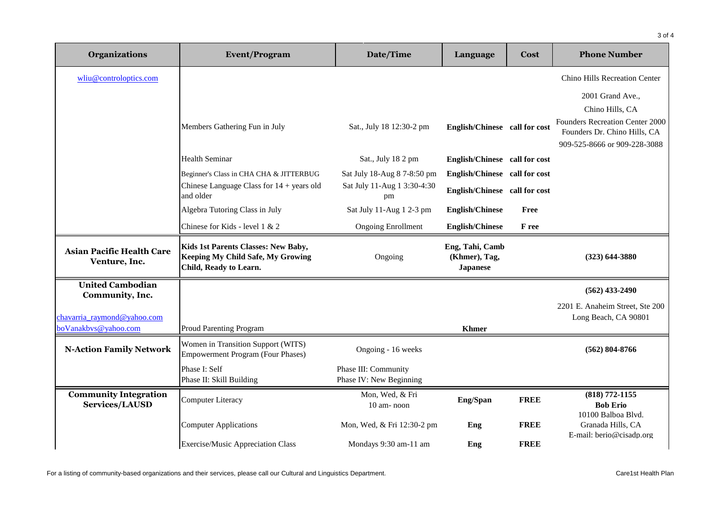| Organizations                                     | <b>Event/Program</b>                                                                               | Date/Time                                       | Language                                            | Cost        | <b>Phone Number</b>                                                                             |
|---------------------------------------------------|----------------------------------------------------------------------------------------------------|-------------------------------------------------|-----------------------------------------------------|-------------|-------------------------------------------------------------------------------------------------|
| wliu@controloptics.com                            |                                                                                                    |                                                 |                                                     |             | Chino Hills Recreation Center                                                                   |
|                                                   |                                                                                                    |                                                 |                                                     |             | 2001 Grand Ave.,                                                                                |
|                                                   |                                                                                                    |                                                 |                                                     |             | Chino Hills, CA                                                                                 |
|                                                   | Members Gathering Fun in July                                                                      | Sat., July 18 12:30-2 pm                        | English/Chinese call for cost                       |             | Founders Recreation Center 2000<br>Founders Dr. Chino Hills, CA<br>909-525-8666 or 909-228-3088 |
|                                                   | <b>Health Seminar</b>                                                                              | Sat., July 18 2 pm                              | English/Chinese call for cost                       |             |                                                                                                 |
|                                                   | Beginner's Class in CHA CHA & JITTERBUG                                                            | Sat July 18-Aug 8 7-8:50 pm                     | English/Chinese call for cost                       |             |                                                                                                 |
|                                                   | Chinese Language Class for $14 + \text{years}$ old<br>and older                                    | Sat July 11-Aug 1 3:30-4:30<br>pm               | English/Chinese call for cost                       |             |                                                                                                 |
|                                                   | Algebra Tutoring Class in July                                                                     | Sat July 11-Aug 1 2-3 pm                        | <b>English/Chinese</b>                              | Free        |                                                                                                 |
|                                                   | Chinese for Kids - level 1 & 2                                                                     | <b>Ongoing Enrollment</b>                       | <b>English/Chinese</b>                              | F ree       |                                                                                                 |
| <b>Asian Pacific Health Care</b><br>Venture, Inc. | Kids 1st Parents Classes: New Baby,<br>Keeping My Child Safe, My Growing<br>Child, Ready to Learn. | Ongoing                                         | Eng, Tahi, Camb<br>(Khmer), Tag,<br><b>Japanese</b> |             | $(323) 644 - 3880$                                                                              |
| <b>United Cambodian</b><br>Community, Inc.        |                                                                                                    |                                                 |                                                     |             | $(562)$ 433-2490                                                                                |
|                                                   |                                                                                                    |                                                 |                                                     |             | 2201 E. Anaheim Street, Ste 200                                                                 |
| chavarria raymond@yahoo.com                       |                                                                                                    |                                                 |                                                     |             | Long Beach, CA 90801                                                                            |
| boVanakbys@yahoo.com                              | <b>Proud Parenting Program</b>                                                                     |                                                 | <b>Khmer</b>                                        |             |                                                                                                 |
| <b>N-Action Family Network</b>                    | Women in Transition Support (WITS)<br><b>Empowerment Program (Four Phases)</b>                     | Ongoing - 16 weeks                              |                                                     |             | $(562) 804 - 8766$                                                                              |
|                                                   | Phase I: Self<br>Phase II: Skill Building                                                          | Phase III: Community<br>Phase IV: New Beginning |                                                     |             |                                                                                                 |
| <b>Community Integration</b><br>Services/LAUSD    | <b>Computer Literacy</b>                                                                           | Mon, Wed, & Fri<br>10 am-noon                   | Eng/Span                                            | <b>FREE</b> | (818) 772-1155<br><b>Bob Erio</b>                                                               |
|                                                   | <b>Computer Applications</b>                                                                       | Mon, Wed, & Fri 12:30-2 pm                      | Eng                                                 | <b>FREE</b> | 10100 Balboa Blvd.<br>Granada Hills, CA<br>E-mail: berio@cisadp.org                             |
|                                                   | Exercise/Music Appreciation Class                                                                  | Mondays 9:30 am-11 am                           | Eng                                                 | <b>FREE</b> |                                                                                                 |